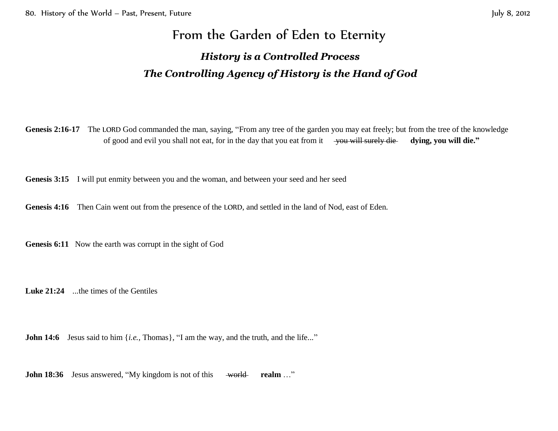# From the Garden of Eden to Eternity *History is a Controlled Process The Controlling Agency of History is the Hand of God*

Genesis 2:16-17 The LORD God commanded the man, saying, "From any tree of the garden you may eat freely; but from the tree of the knowledge of good and evil you shall not eat, for in the day that you eat from it vou will surely die **dying, you will die.**"

**Genesis 3:15** I will put enmity between you and the woman, and between your seed and her seed

Genesis 4:16 Then Cain went out from the presence of the LORD, and settled in the land of Nod, east of Eden.

**Genesis 6:11** Now the earth was corrupt in the sight of God

**Luke 21:24** ...the times of the Gentiles

**John 14:6** Jesus said to him {*i.e.*, Thomas}, "I am the way, and the truth, and the life..."

**John 18:36** Jesus answered, "My kingdom is not of this world realm ..."